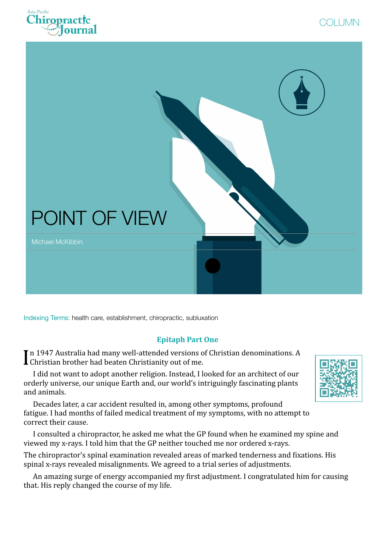





Indexing Terms: health care, establishment, chiropractic, subluxation

## **Epitaph Part One**

In 1947 Australia had many well-attended versions o<br>Christian brother had beaten Christianity out of me. In 1947 Australia had many well-attended versions of Christian denominations. A

I did not want to adopt another religion. Instead, I looked for an architect of our orderly universe, our unique Earth and, our world's intriguingly fascinating plants and animals.

Decades later, a car accident resulted in, among other symptoms, profound fatigue. I had months of failed medical treatment of my symptoms, with no attempt to correct their cause.

I consulted a chiropractor, he asked me what the GP found when he examined my spine and viewed my x-rays. I told him that the GP neither touched me nor ordered x-rays.

The chiropractor's spinal examination revealed areas of marked tenderness and fixations. His spinal x-rays revealed misalignments. We agreed to a trial series of adjustments.

An amazing surge of energy accompanied my first adjustment. I congratulated him for causing that. His reply changed the course of my life.

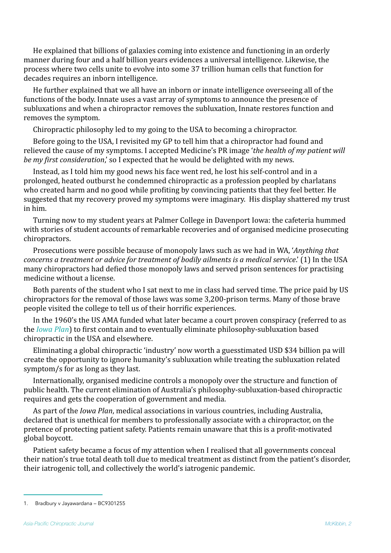He explained that billions of galaxies coming into existence and functioning in an orderly manner during four and a half billion years evidences a universal intelligence. Likewise, the process where two cells unite to evolve into some 37 trillion human cells that function for decades requires an inborn intelligence.

He further explained that we all have an inborn or innate intelligence overseeing all of the functions of the body. Innate uses a vast array of symptoms to announce the presence of subluxations and when a chiropractor removes the subluxation, Innate restores function and removes the symptom.

Chiropractic philosophy led to my going to the USA to becoming a chiropractor.

Before going to the USA, I revisited my GP to tell him that a chiropractor had found and relieved the cause of my symptoms. I accepted Medicine's PR image '*the health of my patient will be my first consideration*,' so I expected that he would be delighted with my news.

Instead, as I told him my good news his face went red, he lost his self-control and in a prolonged, heated outburst he condemned chiropractic as a profession peopled by charlatans who created harm and no good while profiting by convincing patients that they feel better. He suggested that my recovery proved my symptoms were imaginary. His display shattered my trust in him.

Turning now to my student years at Palmer College in Davenport Iowa: the cafeteria hummed with stories of student accounts of remarkable recoveries and of organised medicine prosecuting chiropractors. 

<span id="page-1-1"></span>Prosecutions were possible because of monopoly laws such as we had in WA, *'Anything that concerns a treatment or advice for treatment of bodily ailments is a medical service*.' ([1](#page-1-0)) In the USA many chiropractors had defied those monopoly laws and served prison sentences for practising medicine without a license.

Both parents of the student who I sat next to me in class had served time. The price paid by US chiropractors for the removal of those laws was some 3,200-prison terms. Many of those brave people visited the college to tell us of their horrific experiences.

In the 1960's the US AMA funded what later became a court proven conspiracy (referred to as the *Iowa Plan*) to first contain and to eventually eliminate philosophy-subluxation based chiropractic in the USA and elsewhere.

Eliminating a global chiropractic 'industry' now worth a guesstimated USD \$34 billion pa will create the opportunity to ignore humanity's subluxation while treating the subluxation related symptom/s for as long as they last.

Internationally, organised medicine controls a monopoly over the structure and function of public health. The current elimination of Australia's philosophy-subluxation-based chiropractic requires and gets the cooperation of government and media.

As part of the *Iowa Plan*, medical associations in various countries, including Australia, declared that is unethical for members to professionally associate with a chiropractor, on the pretence of protecting patient safety. Patients remain unaware that this is a profit-motivated global boycott.

Patient safety became a focus of my attention when I realised that all governments conceal their nation's true total death toll due to medical treatment as distinct from the patient's disorder, their iatrogenic toll, and collectively the world's iatrogenic pandemic.

<span id="page-1-0"></span>[<sup>1</sup>](#page-1-1). Bradbury v Jayawardana – BC9301255